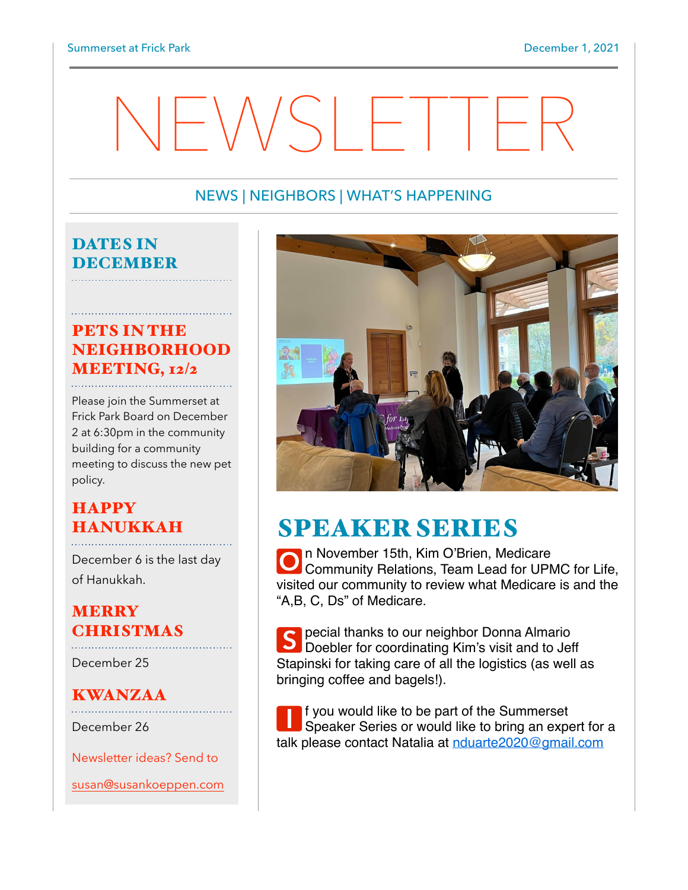# $NFSH+THE$

### NEWS | NEIGHBORS | WHAT'S HAPPENING

#### DATES IN DECEMBER

## PETS IN THE **NEIGHBORHOOD** MEETING, 12/2

Please join the Summerset at Frick Park Board on December 2 at 6:30pm in the community building for a community meeting to discuss the new pet policy.

## **HAPPY** HANUKKAH

December 6 is the last day of Hanukkah.

#### **MERRY** CHRISTMAS

December 25

## KWANZAA

December 26

Newsletter ideas? Send to

[susan@susankoeppen.com](mailto:susan@susankoeppen.com)



## SPEAKER SERIES

**O** n November 15th, Kim O'Brien, Medicare **Community Relations, Team Lead for UPMC for Life,** visited our community to review what Medicare is and the "A,B, C, Ds" of Medicare.

S pecial thanks to our neighbor Donna Almario<br>
Doebler for coordinating Kim's visit and to Jeff Stapinski for taking care of all the logistics (as well as bringing coffee and bagels!).

**I** f you would like to be part of the Summerset<br>Speaker Series or would like to bring an expert for a talk please contact Natalia at [nduarte2020@gmail.com](mailto:nduarte2020@gmail.com)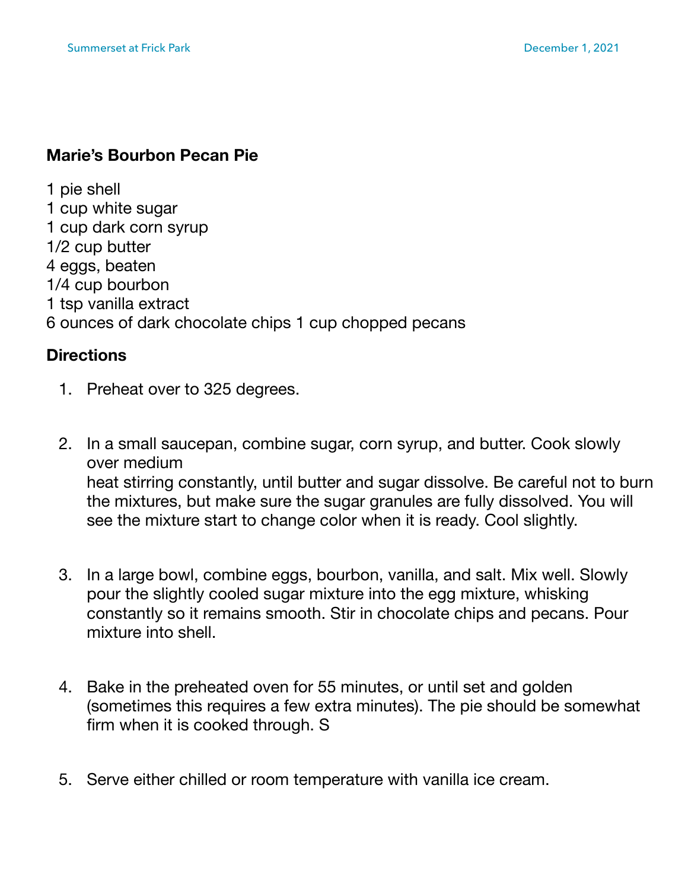## **Marie's Bourbon Pecan Pie**

1 pie shell 1 cup white sugar 1 cup dark corn syrup 1/2 cup butter 4 eggs, beaten 1/4 cup bourbon 1 tsp vanilla extract 6 ounces of dark chocolate chips 1 cup chopped pecans

#### **Directions**

- 1. Preheat over to 325 degrees.
- 2. In a small saucepan, combine sugar, corn syrup, and butter. Cook slowly over medium heat stirring constantly, until butter and sugar dissolve. Be careful not to burn the mixtures, but make sure the sugar granules are fully dissolved. You will see the mixture start to change color when it is ready. Cool slightly.
- 3. In a large bowl, combine eggs, bourbon, vanilla, and salt. Mix well. Slowly pour the slightly cooled sugar mixture into the egg mixture, whisking constantly so it remains smooth. Stir in chocolate chips and pecans. Pour mixture into shell.
- 4. Bake in the preheated oven for 55 minutes, or until set and golden (sometimes this requires a few extra minutes). The pie should be somewhat firm when it is cooked through. S
- 5. Serve either chilled or room temperature with vanilla ice cream.